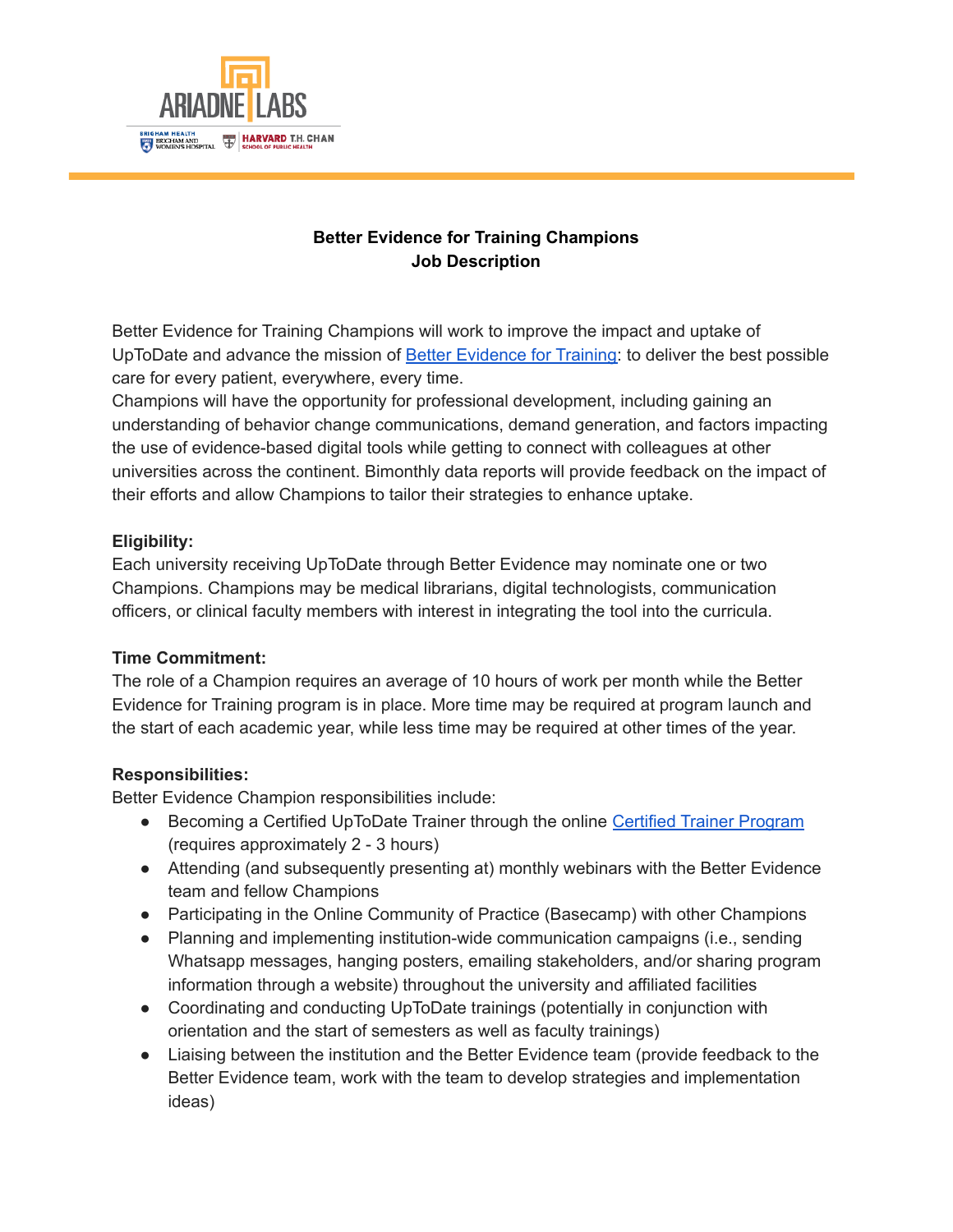

# **Better Evidence for Training Champions Job Description**

Better Evidence for Training Champions will work to improve the impact and uptake of UpToDate and advance the mission of Better [Evidence](https://www.ariadnelabs.org/better-evidence/rfp/) for Training: to deliver the best possible care for every patient, everywhere, every time.

Champions will have the opportunity for professional development, including gaining an understanding of behavior change communications, demand generation, and factors impacting the use of evidence-based digital tools while getting to connect with colleagues at other universities across the continent. Bimonthly data reports will provide feedback on the impact of their efforts and allow Champions to tailor their strategies to enhance uptake.

### **Eligibility:**

Each university receiving UpToDate through Better Evidence may nominate one or two Champions. Champions may be medical librarians, digital technologists, communication officers, or clinical faculty members with interest in integrating the tool into the curricula.

#### **Time Commitment:**

The role of a Champion requires an average of 10 hours of work per month while the Better Evidence for Training program is in place. More time may be required at program launch and the start of each academic year, while less time may be required at other times of the year.

#### **Responsibilities:**

Better Evidence Champion responsibilities include:

- Becoming a Certified UpToDate Trainer through the online Certified Trainer [Program](https://www.uptodate.com/home/certified-trainer-program) (requires approximately 2 - 3 hours)
- Attending (and subsequently presenting at) monthly webinars with the Better Evidence team and fellow Champions
- Participating in the Online Community of Practice (Basecamp) with other Champions
- Planning and implementing institution-wide communication campaigns (i.e., sending Whatsapp messages, hanging posters, emailing stakeholders, and/or sharing program information through a website) throughout the university and affiliated facilities
- Coordinating and conducting UpToDate trainings (potentially in conjunction with orientation and the start of semesters as well as faculty trainings)
- Liaising between the institution and the Better Evidence team (provide feedback to the Better Evidence team, work with the team to develop strategies and implementation ideas)